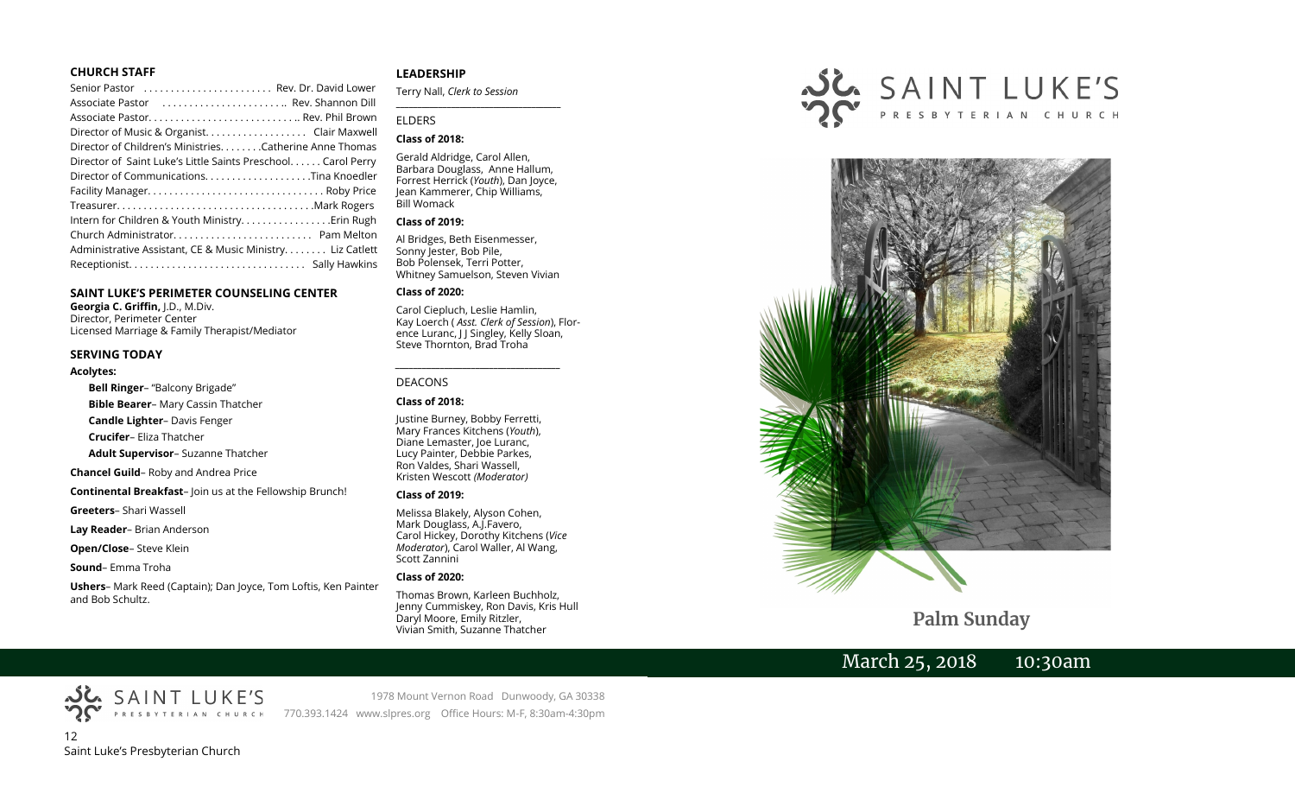## **CHURCH STAFF**

| Senior Pastor  Rev. Dr. David Lower                          |  |
|--------------------------------------------------------------|--|
| Associate Pastor  Rev. Shannon Dill                          |  |
|                                                              |  |
| Director of Music & Organist. Clair Maxwell                  |  |
| Director of Children's Ministries. Catherine Anne Thomas     |  |
| Director of Saint Luke's Little Saints Preschool Carol Perry |  |
| Director of CommunicationsTina Knoedler                      |  |
|                                                              |  |
|                                                              |  |
|                                                              |  |
|                                                              |  |
| Administrative Assistant, CE & Music Ministry Liz Catlett    |  |
|                                                              |  |
|                                                              |  |

## **SAINT LUKE'S PERIMETER COUNSELING CENTER**

**Georgia C. Griffin,** J.D., M.Div. Director, Perimeter Center Licensed Marriage & Family Therapist/Mediator

### **SERVING TODAY**

#### **Acolytes:**

**Bell Ringer**– "Balcony Brigade"

**Bible Bearer**– Mary Cassin Thatcher

**Candle Lighter**– Davis Fenger

**Crucifer**– Eliza Thatcher

**Adult Supervisor**– Suzanne Thatcher

**Chancel Guild**– Roby and Andrea Price

**Continental Breakfast**– Join us at the Fellowship Brunch!

**Greeters**– Shari Wassell

**Lay Reader**– Brian Anderson

**Open/Close**– Steve Klein

**Sound**– Emma Troha

**Ushers**– Mark Reed (Captain); Dan Joyce, Tom Loftis, Ken Painter and Bob Schultz.

## **LEADERSHIP**

Terry Nall, *Clerk to Session* 

## ELDERS

## **Class of 2018:**

Gerald Aldridge, Carol Allen, Barbara Douglass, Anne Hallum, Forrest Herrick (*Youth*), Dan Joyce, Jean Kammerer, Chip Williams, Bill Womack

**\_\_\_\_\_\_\_\_\_\_\_\_\_\_\_\_\_\_\_\_\_\_\_\_\_\_\_\_\_\_\_\_\_\_\_\_\_\_\_**

#### **Class of 2019:**

Al Bridges, Beth Eisenmesser, Sonny Jester, Bob Pile, Bob Polensek, Terri Potter, Whitney Samuelson, Steven Vivian

## **Class of 2020:**

Carol Ciepluch, Leslie Hamlin, Kay Loerch ( *Asst. Clerk of Session*), Florence Luranc, J J Singley, Kelly Sloan, Steve Thornton, Brad Troha

*\_\_\_\_\_\_\_\_\_\_\_\_\_\_\_\_\_\_\_\_\_\_\_\_\_\_\_\_\_\_\_\_\_\_\_\_\_*

### DEACONS

### **Class of 2018:**

Justine Burney, Bobby Ferretti, Mary Frances Kitchens (*Youth*), Diane Lemaster, Joe Luranc, Lucy Painter, Debbie Parkes, Ron Valdes, Shari Wassell, Kristen Wescott *(Moderator)*

#### **Class of 2019:**

Melissa Blakely, Alyson Cohen, Mark Douglass, A.J.Favero, Carol Hickey, Dorothy Kitchens (*Vice Moderator*), Carol Waller, Al Wang, Scott Zannini

### **Class of 2020:**

Thomas Brown, Karleen Buchholz, Jenny Cummiskey, Ron Davis, Kris Hull Daryl Moore, Emily Ritzler, Vivian Smith, Suzanne Thatcher





**Palm Sunday**

March 25, 2018 10:30am



1978 Mount Vernon Road Dunwoody, GA 30338 770.393.1424 www.slpres.org Office Hours: M-F, 8:30am-4:30pm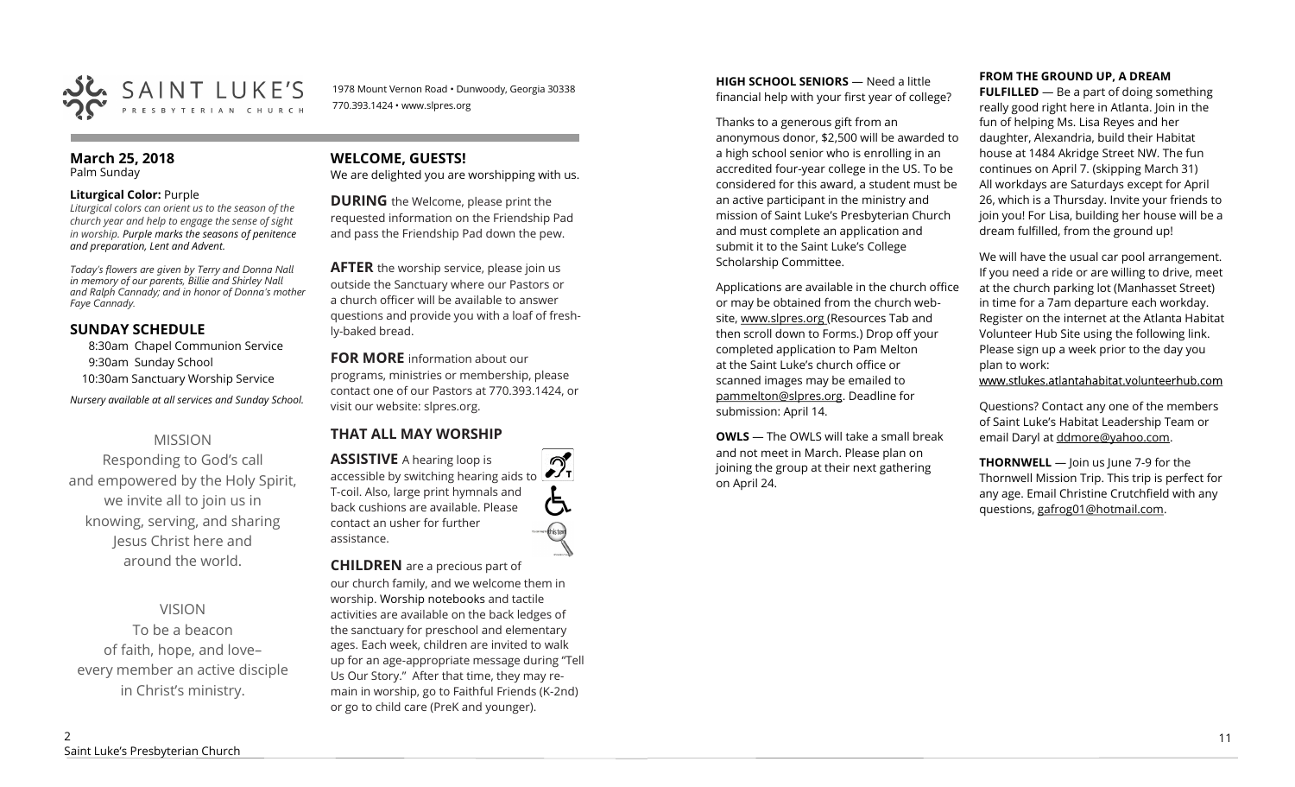

1978 Mount Vernon Road • Dunwoody, Georgia 30338 770.393.1424 • www.slpres.org

## **March 25, 2018**  Palm Sunday

## **Liturgical Color:** Purple

*Liturgical colors can orient us to the season of the church year and help to engage the sense of sight in worship. Purple marks the seasons of penitence and preparation, Lent and Advent.* 

*Today's flowers are given by Terry and Donna Nall in memory of our parents, Billie and Shirley Nall and Ralph Cannady; and in honor of Donna's mother Faye Cannady.* 

# **SUNDAY SCHEDULE**

8:30am Chapel Communion Service 9:30am Sunday School 10:30am Sanctuary Worship Service *Nursery available at all services and Sunday School.* 

# MISSION

Responding to God's call and empowered by the Holy Spirit, we invite all to join us in knowing, serving, and sharing Jesus Christ here and around the world.

VISION To be a beacon of faith, hope, and love– every member an active disciple in Christ's ministry.

# **WELCOME, GUESTS!**

We are delighted you are worshipping with us.

**DURING** the Welcome, please print the requested information on the Friendship Pad and pass the Friendship Pad down the pew.

**AFTER** the worship service, please join us outside the Sanctuary where our Pastors or a church officer will be available to answer questions and provide you with a loaf of freshly-baked bread.

**FOR MORE** information about our programs, ministries or membership, please contact one of our Pastors at 770.393.1424, or visit our website: slpres.org.

# **THAT ALL MAY WORSHIP**

**ASSISTIVE** A hearing loop is  $\mathcal{D}_{\mathrm{r}}$ accessible by switching hearing aids to T-coil. Also, large print hymnals and back cushions are available. Please contact an usher for further assistance.

## **CHILDREN** are a precious part of our church family, and we welcome them in worship. Worship notebooks and tactile activities are available on the back ledges of the sanctuary for preschool and elementary ages. Each week, children are invited to walk up for an age-appropriate message during "Tell Us Our Story." After that time, they may remain in worship, go to Faithful Friends (K-2nd) or go to child care (PreK and younger).

**HIGH SCHOOL SENIORS** — Need a little financial help with your first year of college?

Thanks to a generous gift from an anonymous donor, \$2,500 will be awarded to a high school senior who is enrolling in an accredited four-year college in the US. To be considered for this award, a student must be an active participant in the ministry and mission of Saint Luke's Presbyterian Church and must complete an application and submit it to the Saint Luke's College Scholarship Committee.

Applications are available in the church office or may be obtained from the church website, www.slpres.org (Resources Tab and then scroll down to Forms.) Drop off your completed application to Pam Melton at the Saint Luke's church office or scanned images may be emailed to [pammelton@slpres.org.](mailto:pammelton@slpres.org) Deadline for submission: April 14.

**OWLS** — The OWLS will take a small break and not meet in March. Please plan on joining the group at their next gathering on April 24.

# **FROM THE GROUND UP, A DREAM**

**FULFILLED** — Be a part of doing something really good right here in Atlanta. Join in the fun of helping Ms. Lisa Reyes and her daughter, Alexandria, build their Habitat house at 1484 Akridge Street NW. The fun continues on April 7. (skipping March 31) All workdays are Saturdays except for April 26, which is a Thursday. Invite your friends to join you! For Lisa, building her house will be a dream fulfilled, from the ground up!

We will have the usual car pool arrangement. If you need a ride or are willing to drive, meet at the church parking lot (Manhasset Street) in time for a 7am departure each workday. Register on the internet at the Atlanta Habitat Volunteer Hub Site using the following link. Please sign up a week prior to the day you plan to work:

www.stlukes.atlantahabitat.volunteerhub.com

Questions? Contact any one of the members of Saint Luke's Habitat Leadership Team or email Daryl at ddmore@yahoo.com.

**THORNWELL** — Join us June 7-9 for the Thornwell Mission Trip. This trip is perfect for any age. Email Christine Crutchfield with any questions, gafrog01@hotmail.com.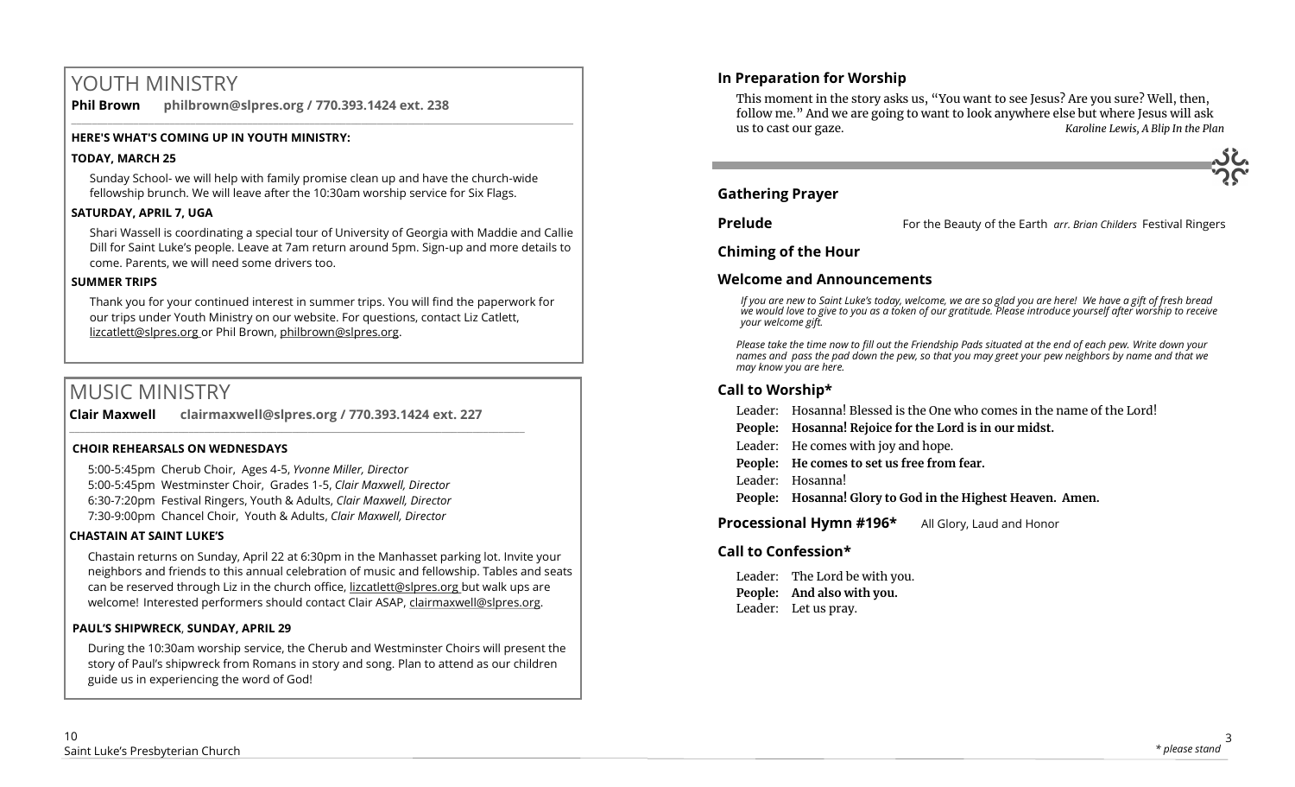# YOUTH MINISTRY

**Phil Brown philbrown@slpres.org / 770.393.1424 ext. 238**   $\_$  ,  $\_$  ,  $\_$  ,  $\_$  ,  $\_$  ,  $\_$  ,  $\_$  ,  $\_$  ,  $\_$  ,  $\_$  ,  $\_$  ,  $\_$  ,  $\_$  ,  $\_$  ,  $\_$  ,  $\_$  ,  $\_$  ,  $\_$  ,  $\_$  ,  $\_$ 

# **HERE'S WHAT'S COMING UP IN YOUTH MINISTRY:**

# **TODAY, MARCH 25**

Sunday School- we will help with family promise clean up and have the church-wide fellowship brunch. We will leave after the 10:30am worship service for Six Flags.

# **SATURDAY, APRIL 7, UGA**

Shari Wassell is coordinating a special tour of University of Georgia with Maddie and Callie Dill for Saint Luke's people. Leave at 7am return around 5pm. Sign-up and more details to come. Parents, we will need some drivers too.

# **SUMMER TRIPS**

Thank you for your continued interest in summer trips. You will find the paperwork for our trips under Youth Ministry on our website. For questions, contact Liz Catlett, lizcatlett@slpres.org or Phil Brown, philbrown@slpres.org.

# MUSIC MINISTRY

**Clair Maxwell clairmaxwell@slpres.org / 770.393.1424 ext. 227**   $\mathcal{L}_\mathcal{L} = \{ \mathcal{L}_\mathcal{L} = \{ \mathcal{L}_\mathcal{L} = \{ \mathcal{L}_\mathcal{L} = \{ \mathcal{L}_\mathcal{L} = \{ \mathcal{L}_\mathcal{L} = \{ \mathcal{L}_\mathcal{L} = \{ \mathcal{L}_\mathcal{L} = \{ \mathcal{L}_\mathcal{L} = \{ \mathcal{L}_\mathcal{L} = \{ \mathcal{L}_\mathcal{L} = \{ \mathcal{L}_\mathcal{L} = \{ \mathcal{L}_\mathcal{L} = \{ \mathcal{L}_\mathcal{L} = \{ \mathcal{L}_\mathcal{$ 

# **CHOIR REHEARSALS ON WEDNESDAYS**

5:00-5:45pm Cherub Choir, Ages 4-5, *Yvonne Miller, Director*  5:00-5:45pm Westminster Choir, Grades 1-5, *Clair Maxwell, Director*  6:30-7:20pm Festival Ringers, Youth & Adults, *Clair Maxwell, Director*  7:30-9:00pm Chancel Choir, Youth & Adults, *Clair Maxwell, Director* 

# **CHASTAIN AT SAINT LUKE'S**

Chastain returns on Sunday, April 22 at 6:30pm in the Manhasset parking lot. Invite your neighbors and friends to this annual celebration of music and fellowship. Tables and seats can be reserved through Liz in the church office, lizcatlett@slpres.org but walk ups are welcome! Interested performers should contact Clair ASAP, clairmaxwell@slpres.org.

# **PAUL'S SHIPWRECK**, **SUNDAY, APRIL 29**

During the 10:30am worship service, the Cherub and Westminster Choirs will present the story of Paul's shipwreck from Romans in story and song. Plan to attend as our children guide us in experiencing the word of God!

This moment in the story asks us, "You want to see Jesus? Are you sure? Well, then, follow me." And we are going to want to look anywhere else but where Jesus will ask us to cast our gaze. *Karoline Lewis, A Blip In the Plan*



**Prelude** For the Beauty of the Earth *arr. Brian Childers* Festival Ringers

**Chiming of the Hour**

# **Welcome and Announcements**

*If you are new to Saint Luke's today, welcome, we are so glad you are here! We have a gift of fresh bread we would love to give to you as a token of our gratitude. Please introduce yourself after worship to receive your welcome gift.*

*Please take the time now to fill out the Friendship Pads situated at the end of each pew. Write down your names and pass the pad down the pew, so that you may greet your pew neighbors by name and that we may know you are here.*

# **Call to Worship\***

Leader: Hosanna! Blessed is the One who comes in the name of the Lord!

**People: Hosanna! Rejoice for the Lord is in our midst.**

Leader: He comes with joy and hope.

**People: He comes to set us free from fear.**

Leader: Hosanna!

**People: Hosanna! Glory to God in the Highest Heaven. Amen.** 

**Processional Hymn #196\*** All Glory, Laud and Honor

# **Call to Confession\***

Leader: The Lord be with you. **People: And also with you.** Leader: Let us pray.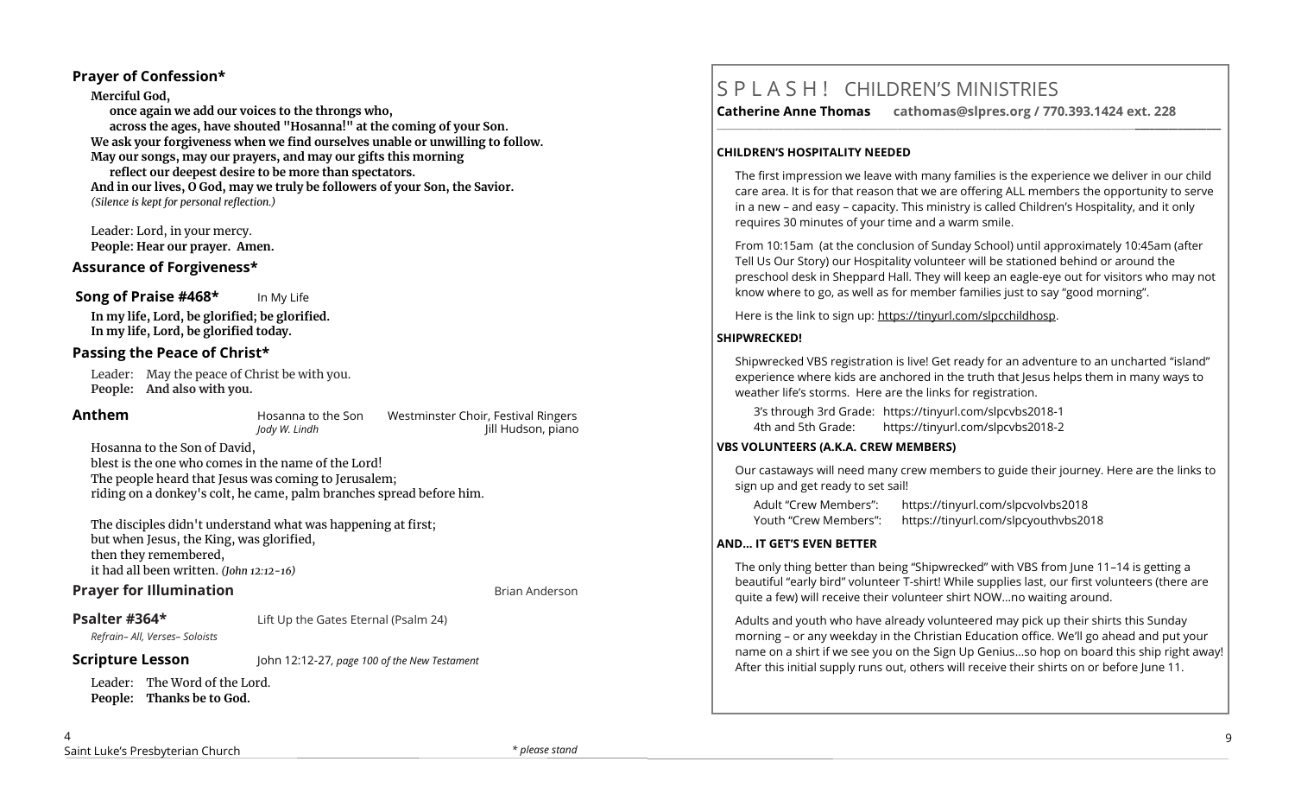# **Prayer of Confession\***

**Merciful God, once again we add our voices to the throngs who, across the ages, have shouted "Hosanna!" at the coming of your Son. We ask your forgiveness when we find ourselves unable or unwilling to follow. May our songs, may our prayers, and may our gifts this morning reflect our deepest desire to be more than spectators. And in our lives, O God, may we truly be followers of your Son, the Savior.**  *(Silence is kept for personal reflection.)*

Leader: Lord, in your mercy. **People: Hear our prayer. Amen.**

# **Assurance of Forgiveness\***

## **Song of Praise #468\*** In My Life

**In my life, Lord, be glorified; be glorified. In my life, Lord, be glorified today.**

# **Passing the Peace of Christ\***

Leader: May the peace of Christ be with you. **People: And also with you.** 

**Anthem Hosanna to the Son** Westminster Choir, Festival Ringers<br>*Indy W. Lindh W. Lindh* IIII Hudson. piano *Jody W. Lindh* Jill Hudson, piano

Hosanna to the Son of David,

blest is the one who comes in the name of the Lord! The people heard that Jesus was coming to Jerusalem; riding on a donkey's colt, he came, palm branches spread before him.

The disciples didn't understand what was happening at first; but when Jesus, the King, was glorified, then they remembered, it had all been written. *(John 12:12-16)*

# **Prayer for Illumination Brian Anderson Brian Anderson**

*Refrain– All, Verses– Soloists*

**Psalter #364\*** Lift Up the Gates Eternal (Psalm 24)

# **Scripture Lesson** John 12:12-27*, page 100 of the New Testament*

Leader: The Word of the Lord. **People: Thanks be to God.**

# S P L A S H ! CHILDREN'S MINISTRIES

**Catherine Anne Thomas cathomas@slpres.org / 770.393.1424 ext. 228** 

**\_\_\_\_\_\_\_\_\_\_\_\_\_\_\_\_\_\_\_\_\_\_\_\_\_\_\_\_\_\_\_\_\_\_\_\_\_\_\_\_\_\_\_\_\_\_\_\_\_\_\_\_\_\_\_\_\_\_\_\_\_\_\_\_\_\_\_\_\_\_\_\_\_\_\_\_\_\_\_\_\_\_\_\_\_\_\_\_\_\_\_\_\_\_\_\_\_\_\_\_\_\_\_\_\_\_** 

## **CHILDREN'S HOSPITALITY NEEDED**

The first impression we leave with many families is the experience we deliver in our child care area. It is for that reason that we are offering ALL members the opportunity to serve in a new – and easy – capacity. This ministry is called Children's Hospitality, and it only requires 30 minutes of your time and a warm smile.

From 10:15am (at the conclusion of Sunday School) until approximately 10:45am (after Tell Us Our Story) our Hospitality volunteer will be stationed behind or around the preschool desk in Sheppard Hall. They will keep an eagle-eye out for visitors who may not know where to go, as well as for member families just to say "good morning".

Here is the link to sign up: https://tinyurl.com/slpcchildhosp.

## **SHIPWRECKED!**

Shipwrecked VBS registration is live! Get ready for an adventure to an uncharted "island" experience where kids are anchored in the truth that Jesus helps them in many ways to weather life's storms. Here are the links for registration.

3's through 3rd Grade: https://tinyurl.com/slpcvbs2018-1 4th and 5th Grade: https://tinyurl.com/slpcvbs2018-2

# **VBS VOLUNTEERS (A.K.A. CREW MEMBERS)**

Our castaways will need many crew members to guide their journey. Here are the links to sign up and get ready to set sail!

| Adult "Crew Members": | https://tinyurl.com/slpcvolvbs2018   |
|-----------------------|--------------------------------------|
| Youth "Crew Members": | https://tinyurl.com/slpcyouthvbs2018 |

# **AND... IT GET'S EVEN BETTER**

The only thing better than being "Shipwrecked" with VBS from June 11–14 is getting a beautiful "early bird" volunteer T-shirt! While supplies last, our first volunteers (there are quite a few) will receive their volunteer shirt NOW…no waiting around.

Adults and youth who have already volunteered may pick up their shirts this Sunday morning – or any weekday in the Christian Education office. We'll go ahead and put your name on a shirt if we see you on the Sign Up Genius…so hop on board this ship right away! After this initial supply runs out, others will receive their shirts on or before June 11.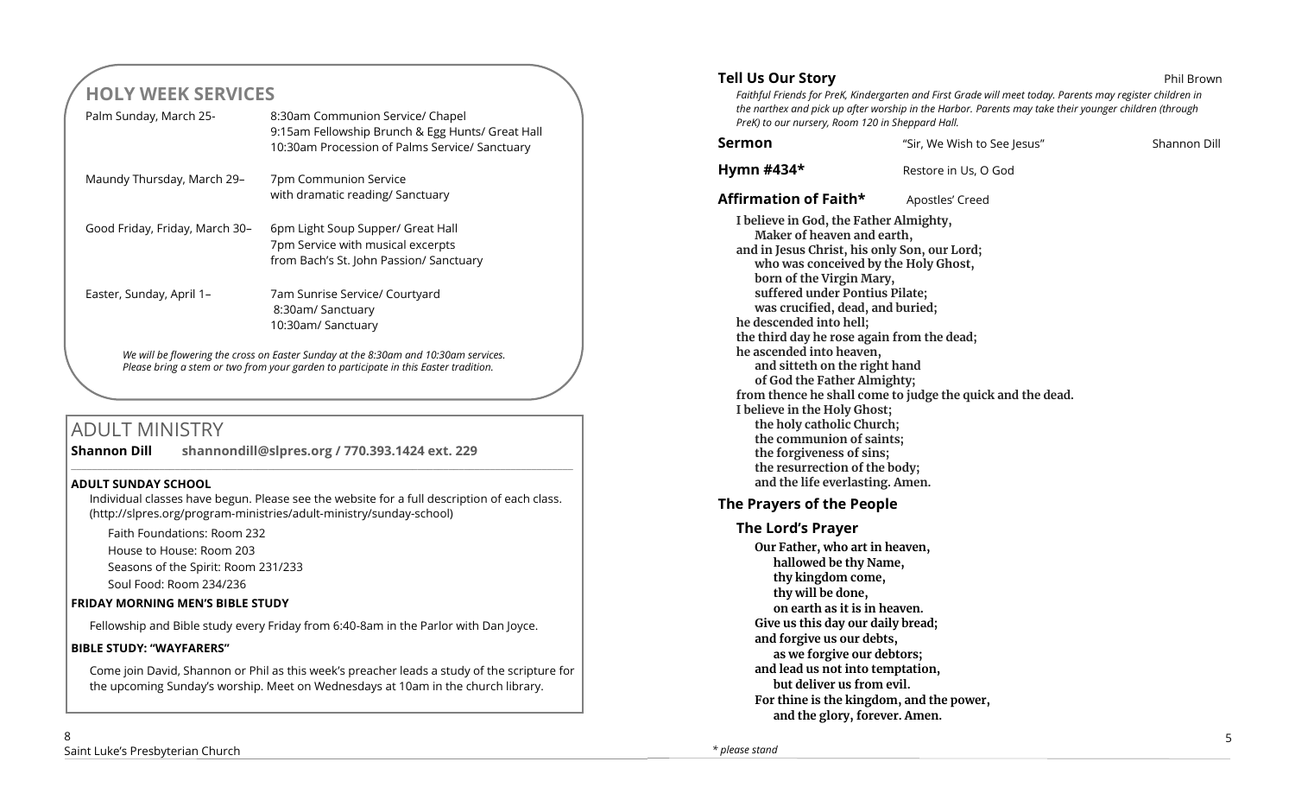# **HOLY WEEK SERVICES**

|                                                                                                                                                                             | Palm Sunday, March 25-         | 8:30am Communion Service/ Chapel<br>9:15am Fellowship Brunch & Egg Hunts/ Great Hall<br>10:30am Procession of Palms Service/ Sanctuary |
|-----------------------------------------------------------------------------------------------------------------------------------------------------------------------------|--------------------------------|----------------------------------------------------------------------------------------------------------------------------------------|
|                                                                                                                                                                             | Maundy Thursday, March 29-     | 7pm Communion Service<br>with dramatic reading/ Sanctuary                                                                              |
|                                                                                                                                                                             | Good Friday, Friday, March 30– | 6pm Light Soup Supper/ Great Hall<br>7pm Service with musical excerpts<br>from Bach's St. John Passion/ Sanctuary                      |
|                                                                                                                                                                             | Easter, Sunday, April 1-       | 7am Sunrise Service/ Courtyard<br>8:30am/ Sanctuary<br>10:30am/ Sanctuary                                                              |
| We will be flowering the cross on Easter Sunday at the 8:30am and 10:30am services.<br>Please bring a stem or two from your garden to participate in this Easter tradition. |                                |                                                                                                                                        |

# ADULT MINISTRY

**Shannon Dill shannondill@slpres.org / 770.393.1424 ext. 229** 

# **ADULT SUNDAY SCHOOL**

Individual classes have begun. Please see the website for a full description of each class. (http://slpres.org/program-ministries/adult-ministry/sunday-school)

 $\_$  ,  $\_$  ,  $\_$  ,  $\_$  ,  $\_$  ,  $\_$  ,  $\_$  ,  $\_$  ,  $\_$  ,  $\_$  ,  $\_$  ,  $\_$  ,  $\_$  ,  $\_$  ,  $\_$  ,  $\_$  ,  $\_$  ,  $\_$  ,  $\_$  ,  $\_$ 

Faith Foundations: Room 232 House to House: Room 203 Seasons of the Spirit: Room 231/233 Soul Food: Room 234/236

# **FRIDAY MORNING MEN'S BIBLE STUDY**

Fellowship and Bible study every Friday from 6:40-8am in the Parlor with Dan Joyce.

# **BIBLE STUDY: "WAYFARERS"**

Come join David, Shannon or Phil as this week's preacher leads a study of the scripture for the upcoming Sunday's worship. Meet on Wednesdays at 10am in the church library.

# **Tell Us Our Story Phil Brown**

*Faithful Friends for PreK, Kindergarten and First Grade will meet today. Parents may register children in the narthex and pick up after worship in the Harbor. Parents may take their younger children (through PreK) to our nursery, Room 120 in Sheppard Hall.* 

| Sermon                                                                                                                                                                                                                                                                                                                                                                                                                                                                                                                                                                                                                       | "Sir, We Wish to See Jesus"                                | Shannon Dill |
|------------------------------------------------------------------------------------------------------------------------------------------------------------------------------------------------------------------------------------------------------------------------------------------------------------------------------------------------------------------------------------------------------------------------------------------------------------------------------------------------------------------------------------------------------------------------------------------------------------------------------|------------------------------------------------------------|--------------|
| Hymn #434*                                                                                                                                                                                                                                                                                                                                                                                                                                                                                                                                                                                                                   | Restore in Us, O God                                       |              |
| Affirmation of Faith*                                                                                                                                                                                                                                                                                                                                                                                                                                                                                                                                                                                                        | Apostles' Creed                                            |              |
| I believe in God, the Father Almighty,<br>Maker of heaven and earth,<br>and in Jesus Christ, his only Son, our Lord;<br>who was conceived by the Holy Ghost,<br>born of the Virgin Mary,<br>suffered under Pontius Pilate;<br>was crucified, dead, and buried;<br>he descended into hell;<br>the third day he rose again from the dead;<br>he ascended into heaven,<br>and sitteth on the right hand<br>of God the Father Almighty;<br>I believe in the Holy Ghost;<br>the holy catholic Church;<br>the communion of saints;<br>the forgiveness of sins;<br>the resurrection of the body;<br>and the life everlasting. Amen. | from thence he shall come to judge the quick and the dead. |              |
| The Prayers of the People                                                                                                                                                                                                                                                                                                                                                                                                                                                                                                                                                                                                    |                                                            |              |
| <b>The Lord's Prayer</b>                                                                                                                                                                                                                                                                                                                                                                                                                                                                                                                                                                                                     |                                                            |              |
| Our Father, who art in heaven,<br>hallowed be thy Name,<br>thy kingdom come,<br>thy will be done,<br>on earth as it is in heaven.<br>Give us this day our daily bread;<br>and forgive us our debts,<br>as we forgive our debtors;<br>and lead us not into temptation,<br>but deliver us from evil.                                                                                                                                                                                                                                                                                                                           | For thine is the kingdom, and the power,                   |              |
| and the glory, forever. Amen.                                                                                                                                                                                                                                                                                                                                                                                                                                                                                                                                                                                                |                                                            |              |